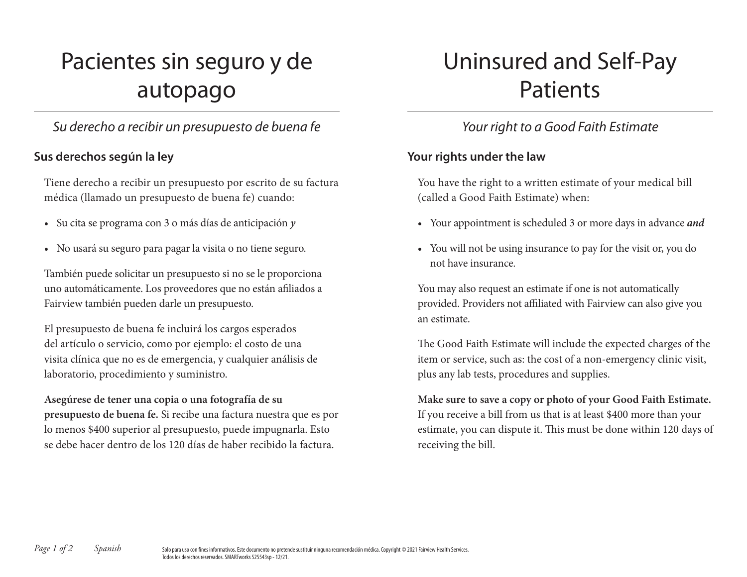# Pacientes sin seguro y de autopago

# *Su derecho a recibir un presupuesto de buena fe*

## **Sus derechos según la ley**

Tiene derecho a recibir un presupuesto por escrito de su factura médica (llamado un presupuesto de buena fe) cuando:

- Su cita se programa con 3 o más días de anticipación *y*
- No usará su seguro para pagar la visita o no tiene seguro.

También puede solicitar un presupuesto si no se le proporciona uno automáticamente. Los proveedores que no están afiliados a Fairview también pueden darle un presupuesto.

El presupuesto de buena fe incluirá los cargos esperados del artículo o servicio, como por ejemplo: el costo de una visita clínica que no es de emergencia, y cualquier análisis de laboratorio, procedimiento y suministro.

**Asegúrese de tener una copia o una fotografía de su presupuesto de buena fe.** Si recibe una factura nuestra que es por lo menos \$400 superior al presupuesto, puede impugnarla. Esto se debe hacer dentro de los 120 días de haber recibido la factura.

# Uninsured and Self-Pay Patients

# *Your right to a Good Faith Estimate*

### **Your rights under the law**

You have the right to a written estimate of your medical bill (called a Good Faith Estimate) when:

- Your appointment is scheduled 3 or more days in advance *and*
- You will not be using insurance to pay for the visit or, you do not have insurance.

You may also request an estimate if one is not automatically provided. Providers not affiliated with Fairview can also give you an estimate.

The Good Faith Estimate will include the expected charges of the item or service, such as: the cost of a non-emergency clinic visit, plus any lab tests, procedures and supplies.

**Make sure to save a copy or photo of your Good Faith Estimate.** If you receive a bill from us that is at least \$400 more than your estimate, you can dispute it. This must be done within 120 days of receiving the bill.